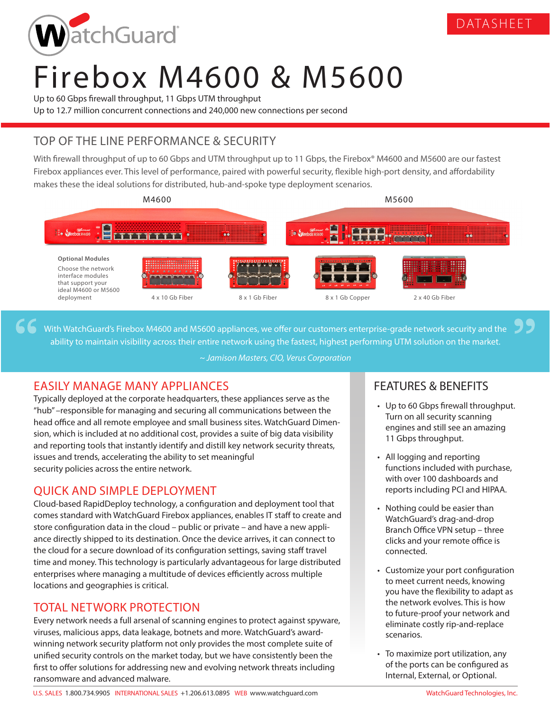

# Firebox M4600 & M5600

Up to 60 Gbps firewall throughput, 11 Gbps UTM throughput Up to 12.7 million concurrent connections and 240,000 new connections per second

## TOP OF THE LINE PERFORMANCE & SECURITY

With firewall throughput of up to 60 Gbps and UTM throughput up to 11 Gbps, the Firebox® M4600 and M5600 are our fastest Firebox appliances ever. This level of performance, paired with powerful security, flexible high-port density, and affordability makes these the ideal solutions for distributed, hub-and-spoke type deployment scenarios.



With WatchGuard's Firebox M4600 and M5600 appliances, we offer our customers enterprise-grade network security and the ability to maintain visibility across their entire network using the fastest, highest performing UTM solution on the market.

*~ Jamison Masters, CIO, Verus Corporation*

## EASILY MANAGE MANY APPLIANCES

Typically deployed at the corporate headquarters, these appliances serve as the "hub" –responsible for managing and securing all communications between the head office and all remote employee and small business sites. WatchGuard Dimension, which is included at no additional cost, provides a suite of big data visibility and reporting tools that instantly identify and distill key network security threats, issues and trends, accelerating the ability to set meaningful security policies across the entire network.

## QUICK AND SIMPLE DEPLOYMENT

Cloud-based RapidDeploy technology, a configuration and deployment tool that comes standard with WatchGuard Firebox appliances, enables IT staff to create and store configuration data in the cloud – public or private – and have a new appliance directly shipped to its destination. Once the device arrives, it can connect to the cloud for a secure download of its configuration settings, saving staff travel time and money. This technology is particularly advantageous for large distributed enterprises where managing a multitude of devices efficiently across multiple locations and geographies is critical.

## TOTAL NETWORK PROTECTION

Every network needs a full arsenal of scanning engines to protect against spyware, viruses, malicious apps, data leakage, botnets and more. WatchGuard's awardwinning network security platform not only provides the most complete suite of unified security controls on the market today, but we have consistently been the first to offer solutions for addressing new and evolving network threats including ransomware and advanced malware.

## FEATURES & BENEFITS

• Up to 60 Gbps firewall throughput. Turn on all security scanning engines and still see an amazing 11 Gbps throughput.

DATASHEET

- All logging and reporting functions included with purchase, with over 100 dashboards and reports including PCI and HIPAA.
- Nothing could be easier than WatchGuard's drag-and-drop Branch Office VPN setup – three clicks and your remote office is connected.
- Customize your port configuration to meet current needs, knowing you have the flexibility to adapt as the network evolves. This is how to future-proof your network and eliminate costly rip-and-replace scenarios.
- To maximize port utilization, any of the ports can be configured as Internal, External, or Optional.